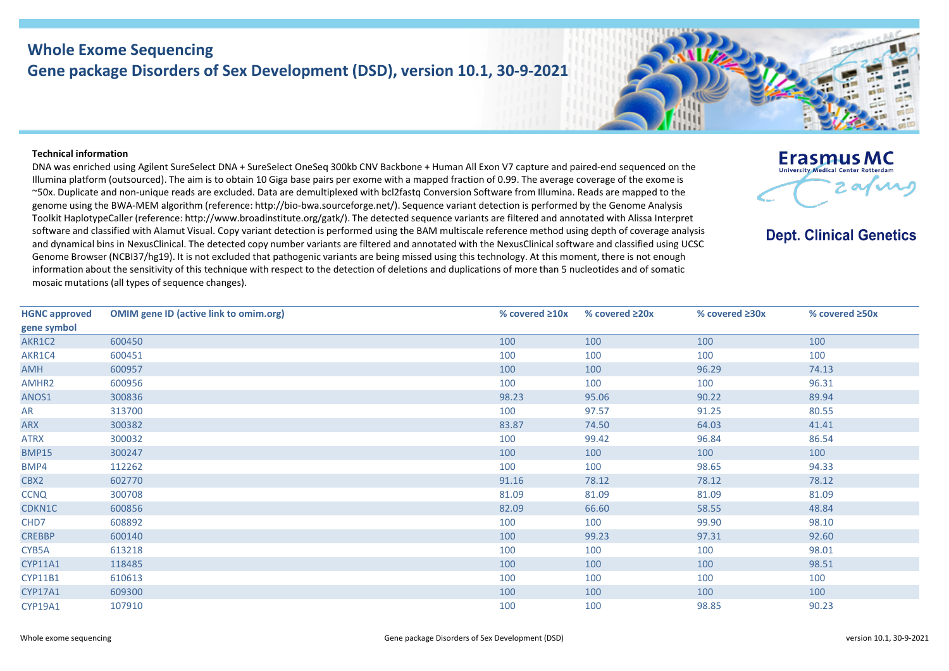## **Whole Exome Sequencing Gene package Disorders of Sex Development (DSD), version 10.1, 30-9-2021**

## **Technical information**

DNA was enriched using Agilent SureSelect DNA + SureSelect OneSeq 300kb CNV Backbone + Human All Exon V7 capture and paired-end sequenced on the Illumina platform (outsourced). The aim is to obtain 10 Giga base pairs per exome with a mapped fraction of 0.99. The average coverage of the exome is ~50x. Duplicate and non-unique reads are excluded. Data are demultiplexed with bcl2fastq Conversion Software from Illumina. Reads are mapped to the genome using the BWA-MEM algorithm (reference: http://bio-bwa.sourceforge.net/). Sequence variant detection is performed by the Genome Analysis Toolkit HaplotypeCaller (reference: http://www.broadinstitute.org/gatk/). The detected sequence variants are filtered and annotated with Alissa Interpret software and classified with Alamut Visual. Copy variant detection is performed using the BAM multiscale reference method using depth of coverage analysis and dynamical bins in NexusClinical. The detected copy number variants are filtered and annotated with the NexusClinical software and classified using UCSC Genome Browser (NCBI37/hg19). It is not excluded that pathogenic variants are being missed using this technology. At this moment, there is not enough information about the sensitivity of this technique with respect to the detection of deletions and duplications of more than 5 nucleotides and of somatic mosaic mutations (all types of sequence changes).

| <b>HGNC approved</b> | <b>OMIM gene ID (active link to omim.org)</b> | % covered $\geq 10x$ | % covered $\geq 20x$ | % covered $\geq 30x$ | % covered ≥50x |
|----------------------|-----------------------------------------------|----------------------|----------------------|----------------------|----------------|
| gene symbol          |                                               |                      |                      |                      |                |
| AKR1C2               | 600450                                        | 100                  | 100                  | 100                  | 100            |
| AKR1C4               | 600451                                        | 100                  | 100                  | 100                  | 100            |
| AMH                  | 600957                                        | 100                  | 100                  | 96.29                | 74.13          |
| AMHR2                | 600956                                        | 100                  | 100                  | 100                  | 96.31          |
| ANOS1                | 300836                                        | 98.23                | 95.06                | 90.22                | 89.94          |
| AR                   | 313700                                        | 100                  | 97.57                | 91.25                | 80.55          |
| ARX                  | 300382                                        | 83.87                | 74.50                | 64.03                | 41.41          |
| <b>ATRX</b>          | 300032                                        | 100                  | 99.42                | 96.84                | 86.54          |
| <b>BMP15</b>         | 300247                                        | 100                  | 100                  | 100                  | 100            |
| BMP4                 | 112262                                        | 100                  | 100                  | 98.65                | 94.33          |
| CBX2                 | 602770                                        | 91.16                | 78.12                | 78.12                | 78.12          |
| <b>CCNQ</b>          | 300708                                        | 81.09                | 81.09                | 81.09                | 81.09          |
| CDKN1C               | 600856                                        | 82.09                | 66.60                | 58.55                | 48.84          |
| CHD7                 | 608892                                        | 100                  | 100                  | 99.90                | 98.10          |
| <b>CREBBP</b>        | 600140                                        | 100                  | 99.23                | 97.31                | 92.60          |
| CYB5A                | 613218                                        | 100                  | 100                  | 100                  | 98.01          |
| <b>CYP11A1</b>       | 118485                                        | 100                  | 100                  | 100                  | 98.51          |
| <b>CYP11B1</b>       | 610613                                        | 100                  | 100                  | 100                  | 100            |
| <b>CYP17A1</b>       | 609300                                        | 100                  | 100                  | 100                  | 100            |
| <b>CYP19A1</b>       | 107910                                        | 100                  | 100                  | 98.85                | 90.23          |



**Erasmus MC** University Medical Center Rotterdan

**Dept. Clinical Genetics** 

afire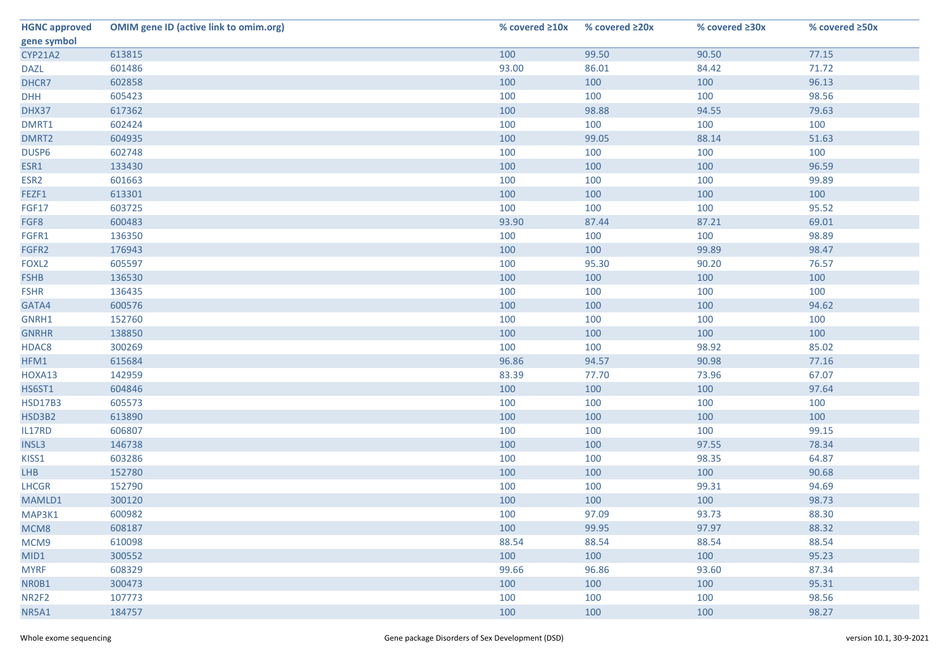| <b>HGNC approved</b> | <b>OMIM gene ID (active link to omim.org)</b> | % covered ≥10x | % covered ≥20x | % covered ≥30x | % covered ≥50x |
|----------------------|-----------------------------------------------|----------------|----------------|----------------|----------------|
| gene symbol          |                                               |                |                |                |                |
| <b>CYP21A2</b>       | 613815                                        | 100            | 99.50          | 90.50          | 77.15          |
| <b>DAZL</b>          | 601486                                        | 93.00          | 86.01          | 84.42          | 71.72          |
| DHCR7                | 602858                                        | 100            | 100            | 100            | 96.13          |
| <b>DHH</b>           | 605423                                        | 100            | 100            | 100            | 98.56          |
| DHX37                | 617362                                        | 100            | 98.88          | 94.55          | 79.63          |
| DMRT1                | 602424                                        | 100            | 100            | 100            | 100            |
| DMRT2                | 604935                                        | 100            | 99.05          | 88.14          | 51.63          |
| DUSP6                | 602748                                        | 100            | 100            | 100            | 100            |
| ESR1                 | 133430                                        | 100            | 100            | 100            | 96.59          |
| ESR <sub>2</sub>     | 601663                                        | 100            | 100            | 100            | 99.89          |
| FEZF1                | 613301                                        | 100            | 100            | 100            | 100            |
| FGF17                | 603725                                        | 100            | 100            | 100            | 95.52          |
| FGF8                 | 600483                                        | 93.90          | 87.44          | 87.21          | 69.01          |
| FGFR1                | 136350                                        | 100            | 100            | 100            | 98.89          |
| FGFR2                | 176943                                        | 100            | 100            | 99.89          | 98.47          |
| FOXL <sub>2</sub>    | 605597                                        | 100            | 95.30          | 90.20          | 76.57          |
| <b>FSHB</b>          | 136530                                        | 100            | 100            | 100            | 100            |
| <b>FSHR</b>          | 136435                                        | 100            | 100            | 100            | 100            |
| GATA4                | 600576                                        | 100            | 100            | 100            | 94.62          |
| GNRH1                | 152760                                        | 100            | 100            | 100            | 100            |
| <b>GNRHR</b>         | 138850                                        | 100            | 100            | 100            | 100            |
| HDAC8                | 300269                                        | 100            | 100            | 98.92          | 85.02          |
| HFM1                 | 615684                                        | 96.86          | 94.57          | 90.98          | 77.16          |
| HOXA13               | 142959                                        | 83.39          | 77.70          | 73.96          | 67.07          |
| <b>HS6ST1</b>        | 604846                                        | 100            | 100            | 100            | 97.64          |
| <b>HSD17B3</b>       | 605573                                        | 100            | 100            | 100            | 100            |
| HSD3B2               | 613890                                        | 100            | 100            | 100            | 100            |
| IL17RD               | 606807                                        | 100            | 100            | 100            | 99.15          |
| INSL3                | 146738                                        | 100            | 100            | 97.55          | 78.34          |
| KISS1                | 603286                                        | 100            | 100            | 98.35          | 64.87          |
| <b>LHB</b>           | 152780                                        | 100            | 100            | 100            | 90.68          |
| <b>LHCGR</b>         | 152790                                        | 100            | 100            | 99.31          | 94.69          |
| MAMLD1               | 300120                                        | 100            | 100            | 100            | 98.73          |
| MAP3K1               | 600982                                        | 100            | 97.09          | 93.73          | 88.30          |
| MCM8                 | 608187                                        | 100            | 99.95          | 97.97          | 88.32          |
| MCM9                 | 610098                                        | 88.54          | 88.54          | 88.54          | 88.54          |
| MID1                 | 300552                                        | 100            | 100            | 100            | 95.23          |
| <b>MYRF</b>          | 608329                                        | 99.66          | 96.86          | 93.60          | 87.34          |
| NR0B1                | 300473                                        | 100            | 100            | 100            | 95.31          |
| NR <sub>2F2</sub>    | 107773                                        | 100            | 100            | 100            | 98.56          |
| NR5A1                | 184757                                        | 100            | 100            | 100            | 98.27          |